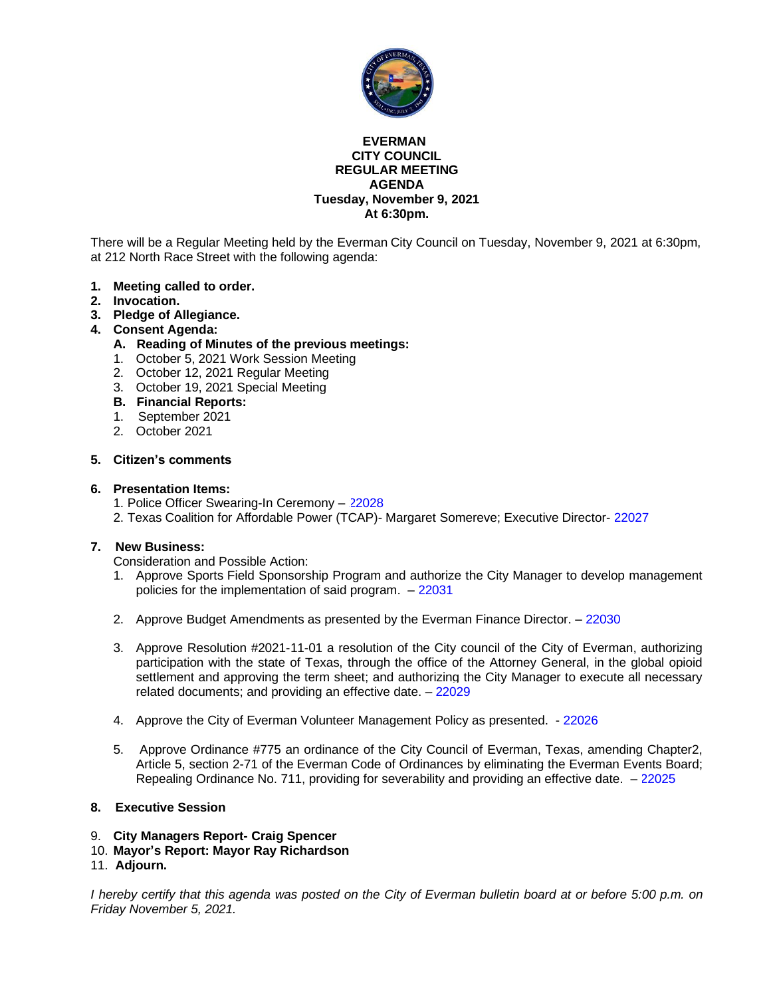

#### **EVERMAN CITY COUNCIL REGULAR MEETING AGENDA Tuesday, November 9, 2021 At 6:30pm.**

There will be a Regular Meeting held by the Everman City Council on Tuesday, November 9, 2021 at 6:30pm, at 212 North Race Street with the following agenda:

- **1. Meeting called to order.**
- **2. Invocation.**
- **3. Pledge of Allegiance.**

#### **4. Consent Agenda:**

- **A. Reading of Minutes of the previous meetings:**
- 1. October 5, 2021 Work Session Meeting
- 2. October 12, 2021 Regular Meeting
- 3. October 19, 2021 Special Meeting
- **B. Financial Reports:**
- 1. September 2021
- 2. October 2021

#### **5. Citizen's comments**

#### **6. Presentation Items:**

- 1. Police Officer Swearing-In Ceremony [22028](#page-11-0)
- 2. Texas Coalition for Affordable Power (TCAP)- Margaret Somereve; Executive Director- [22027](#page-12-0)

#### **7. New Business:**

Consideration and Possible Action:

- 1. Approve Sports Field Sponsorship Program and authorize the City Manager to develop management policies for the implementation of said program. – [22031](#page-13-0)
- 2. Approve Budget Amendments as presented by the Everman Finance Director. [22030](#page-14-0)
- 3. Approve Resolution #2021-11-01 a resolution of the City council of the City of Everman, authorizing participation with the state of Texas, through the office of the Attorney General, in the global opioid settlement and approving the term sheet; and authorizing the City Manager to execute all necessary related documents; and providing an effective date. – [22029](#page-15-0)
- 4. Approve the City of Everman Volunteer Management Policy as presented. [22026](#page-16-0)
- 5. Approve Ordinance #775 an ordinance of the City Council of Everman, Texas, amending Chapter2, Article 5, section 2-71 of the Everman Code of Ordinances by eliminating the Everman Events Board; Repealing Ordinance No. 711, providing for severability and providing an effective date. – [22025](#page-17-0)

#### **8. Executive Session**

- 9. **City Managers Report- Craig Spencer**
- 10. **Mayor's Report: Mayor Ray Richardson**
- 11. **Adjourn.**

*I hereby certify that this agenda was posted on the City of Everman bulletin board at or before 5:00 p.m. on Friday November 5, 2021.*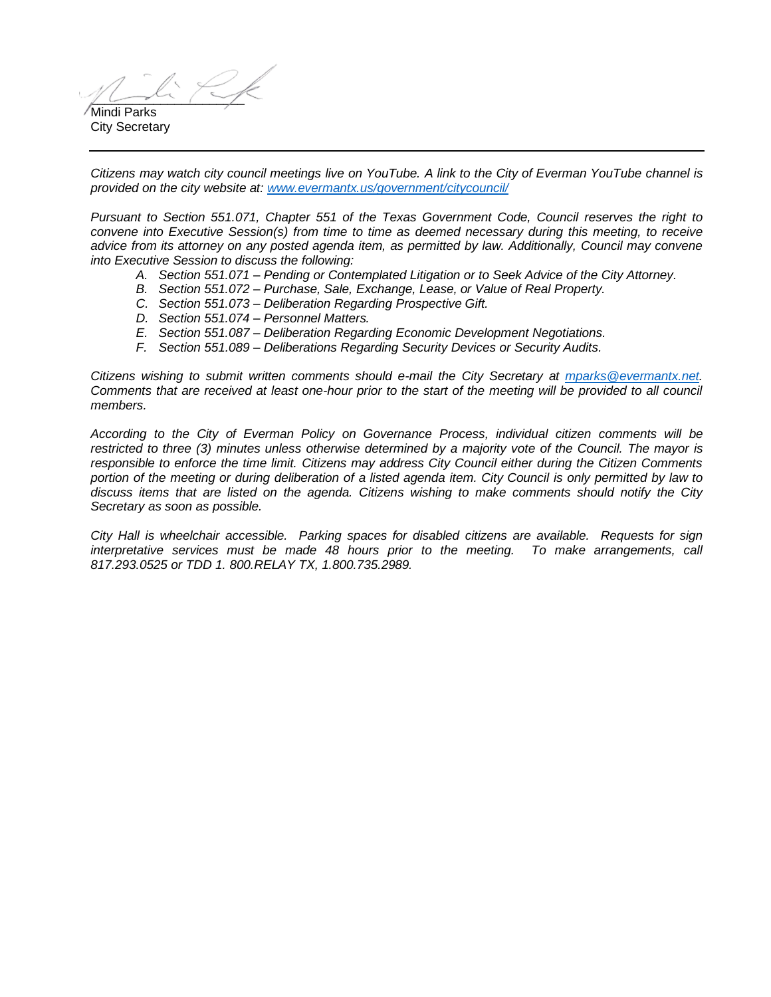$\sim$ Mindi Parks

City Secretary

*Citizens may watch city council meetings live on YouTube. A link to the City of Everman YouTube channel is provided on the city website at: [www.evermantx.us/government/citycouncil/](http://www.evermantx.us/government/citycouncil/)*

*Pursuant to Section 551.071, Chapter 551 of the Texas Government Code, Council reserves the right to convene into Executive Session(s) from time to time as deemed necessary during this meeting, to receive advice from its attorney on any posted agenda item, as permitted by law. Additionally, Council may convene into Executive Session to discuss the following:*

- *A. Section 551.071 – Pending or Contemplated Litigation or to Seek Advice of the City Attorney.*
- *B. Section 551.072 – Purchase, Sale, Exchange, Lease, or Value of Real Property.*
- *C. Section 551.073 – Deliberation Regarding Prospective Gift.*
- *D. Section 551.074 – Personnel Matters.*
- *E. Section 551.087 – Deliberation Regarding Economic Development Negotiations.*
- *F. Section 551.089 – Deliberations Regarding Security Devices or Security Audits.*

*Citizens wishing to submit written comments should e-mail the City Secretary at [mparks@evermantx.net.](mailto:mparks@evermantx.net) Comments that are received at least one-hour prior to the start of the meeting will be provided to all council members.* 

*According to the City of Everman Policy on Governance Process, individual citizen comments will be restricted to three (3) minutes unless otherwise determined by a majority vote of the Council. The mayor is responsible to enforce the time limit. Citizens may address City Council either during the Citizen Comments portion of the meeting or during deliberation of a listed agenda item. City Council is only permitted by law to discuss items that are listed on the agenda. Citizens wishing to make comments should notify the City Secretary as soon as possible.* 

*City Hall is wheelchair accessible. Parking spaces for disabled citizens are available. Requests for sign interpretative services must be made 48 hours prior to the meeting. To make arrangements, call 817.293.0525 or TDD 1. 800.RELAY TX, 1.800.735.2989.*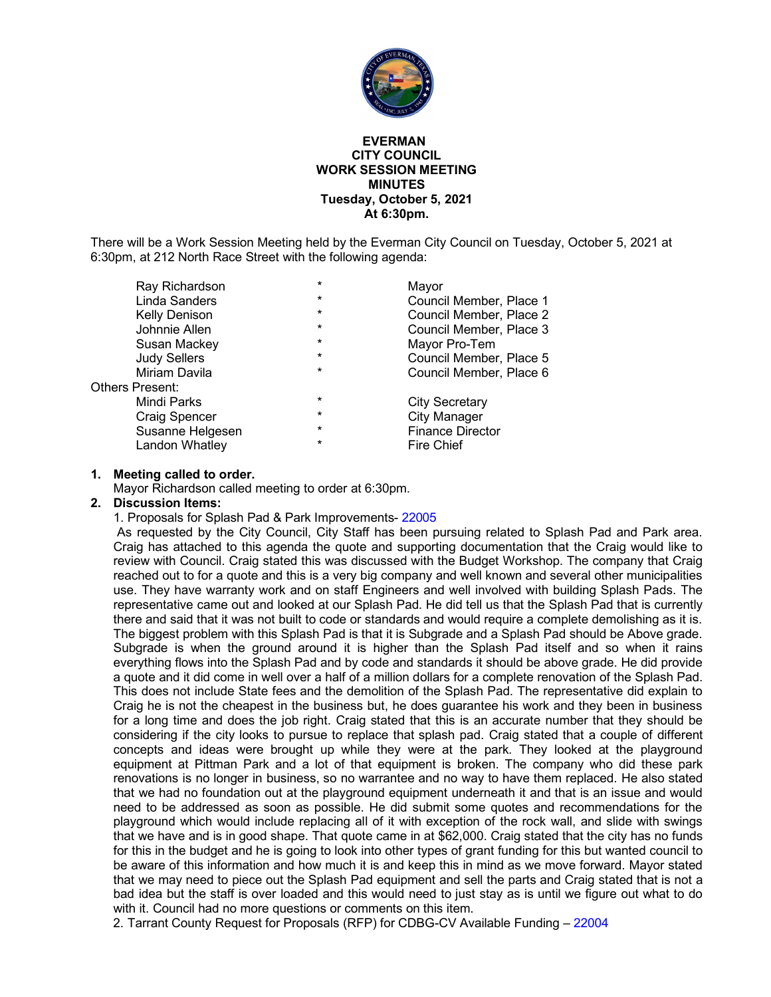

#### **EVERMAN CITY COUNCIL WORK SESSION MEETING MINUTES Tuesday, October 5, 2021 At 6:30pm.**

There will be a Work Session Meeting held by the Everman City Council on Tuesday, October 5, 2021 at 6:30pm, at 212 North Race Street with the following agenda:

| $\star$ | Mayor                   |
|---------|-------------------------|
| *       | Council Member, Place 1 |
| $\star$ | Council Member, Place 2 |
| $\star$ | Council Member, Place 3 |
| *       | Mayor Pro-Tem           |
| *       | Council Member, Place 5 |
| $\star$ | Council Member, Place 6 |
|         |                         |
| *       | <b>City Secretary</b>   |
| *       | <b>City Manager</b>     |
| *       | <b>Finance Director</b> |
| *       | <b>Fire Chief</b>       |
|         |                         |

#### **1. Meeting called to order.**

Mayor Richardson called meeting to order at 6:30pm.

#### **2. Discussion Items:**

1. Proposals for Splash Pad & Park Improvements- 22005

As requested by the City Council, City Staff has been pursuing related to Splash Pad and Park area. Craig has attached to this agenda the quote and supporting documentation that the Craig would like to review with Council. Craig stated this was discussed with the Budget Workshop. The company that Craig reached out to for a quote and this is a very big company and well known and several other municipalities use. They have warranty work and on staff Engineers and well involved with building Splash Pads. The representative came out and looked at our Splash Pad. He did tell us that the Splash Pad that is currently there and said that it was not built to code or standards and would require a complete demolishing as it is. The biggest problem with this Splash Pad is that it is Subgrade and a Splash Pad should be Above grade. Subgrade is when the ground around it is higher than the Splash Pad itself and so when it rains everything flows into the Splash Pad and by code and standards it should be above grade. He did provide a quote and it did come in well over a half of a million dollars for a complete renovation of the Splash Pad. This does not include State fees and the demolition of the Splash Pad. The representative did explain to Craig he is not the cheapest in the business but, he does guarantee his work and they been in business for a long time and does the job right. Craig stated that this is an accurate number that they should be considering if the city looks to pursue to replace that splash pad. Craig stated that a couple of different concepts and ideas were brought up while they were at the park. They looked at the playground equipment at Pittman Park and a lot of that equipment is broken. The company who did these park renovations is no longer in business, so no warrantee and no way to have them replaced. He also stated that we had no foundation out at the playground equipment underneath it and that is an issue and would need to be addressed as soon as possible. He did submit some quotes and recommendations for the playground which would include replacing all of it with exception of the rock wall, and slide with swings that we have and is in good shape. That quote came in at \$62,000. Craig stated that the city has no funds for this in the budget and he is going to look into other types of grant funding for this but wanted council to be aware of this information and how much it is and keep this in mind as we move forward. Mayor stated that we may need to piece out the Splash Pad equipment and sell the parts and Craig stated that is not a bad idea but the staff is over loaded and this would need to just stay as is until we figure out what to do with it. Council had no more questions or comments on this item.

2. Tarrant County Request for Proposals (RFP) for CDBG-CV Available Funding – 22004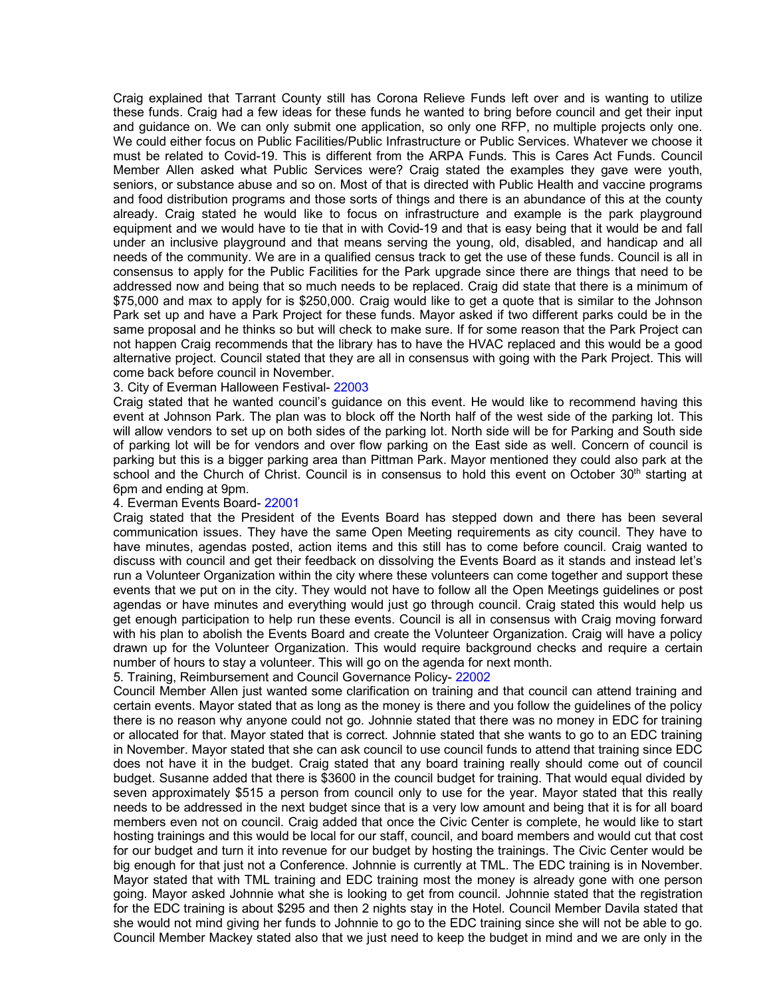Craig explained that Tarrant County still has Corona Relieve Funds left over and is wanting to utilize these funds. Craig had a few ideas for these funds he wanted to bring before council and get their input and guidance on. We can only submit one application, so only one RFP, no multiple projects only one. We could either focus on Public Facilities/Public Infrastructure or Public Services. Whatever we choose it must be related to Covid-19. This is different from the ARPA Funds. This is Cares Act Funds. Council Member Allen asked what Public Services were? Craig stated the examples they gave were youth, seniors, or substance abuse and so on. Most of that is directed with Public Health and vaccine programs and food distribution programs and those sorts of things and there is an abundance of this at the county already. Craig stated he would like to focus on infrastructure and example is the park playground equipment and we would have to tie that in with Covid-19 and that is easy being that it would be and fall under an inclusive playground and that means serving the young, old, disabled, and handicap and all needs of the community. We are in a qualified census track to get the use of these funds. Council is all in consensus to apply for the Public Facilities for the Park upgrade since there are things that need to be addressed now and being that so much needs to be replaced. Craig did state that there is a minimum of \$75,000 and max to apply for is \$250,000. Craig would like to get a quote that is similar to the Johnson Park set up and have a Park Project for these funds. Mayor asked if two different parks could be in the same proposal and he thinks so but will check to make sure. If for some reason that the Park Project can not happen Craig recommends that the library has to have the HVAC replaced and this would be a good alternative project. Council stated that they are all in consensus with going with the Park Project. This will come back before council in November.

#### 3. City of Everman Halloween Festival- 22003

Craig stated that he wanted council's guidance on this event. He would like to recommend having this event at Johnson Park. The plan was to block off the North half of the west side of the parking lot. This will allow vendors to set up on both sides of the parking lot. North side will be for Parking and South side of parking lot will be for vendors and over flow parking on the East side as well. Concern of council is parking but this is a bigger parking area than Pittman Park. Mayor mentioned they could also park at the school and the Church of Christ. Council is in consensus to hold this event on October  $30<sup>th</sup>$  starting at 6pm and ending at 9pm.

#### 4. Everman Events Board- 22001

Craig stated that the President of the Events Board has stepped down and there has been several communication issues. They have the same Open Meeting requirements as city council. They have to have minutes, agendas posted, action items and this still has to come before council. Craig wanted to discuss with council and get their feedback on dissolving the Events Board as it stands and instead let's run a Volunteer Organization within the city where these volunteers can come together and support these events that we put on in the city. They would not have to follow all the Open Meetings guidelines or post agendas or have minutes and everything would just go through council. Craig stated this would help us get enough participation to help run these events. Council is all in consensus with Craig moving forward with his plan to abolish the Events Board and create the Volunteer Organization. Craig will have a policy drawn up for the Volunteer Organization. This would require background checks and require a certain number of hours to stay a volunteer. This will go on the agenda for next month.

5. Training, Reimbursement and Council Governance Policy- 22002

Council Member Allen just wanted some clarification on training and that council can attend training and certain events. Mayor stated that as long as the money is there and you follow the guidelines of the policy there is no reason why anyone could not go. Johnnie stated that there was no money in EDC for training or allocated for that. Mayor stated that is correct. Johnnie stated that she wants to go to an EDC training in November. Mayor stated that she can ask council to use council funds to attend that training since EDC does not have it in the budget. Craig stated that any board training really should come out of council budget. Susanne added that there is \$3600 in the council budget for training. That would equal divided by seven approximately \$515 a person from council only to use for the year. Mayor stated that this really needs to be addressed in the next budget since that is a very low amount and being that it is for all board members even not on council. Craig added that once the Civic Center is complete, he would like to start hosting trainings and this would be local for our staff, council, and board members and would cut that cost for our budget and turn it into revenue for our budget by hosting the trainings. The Civic Center would be big enough for that just not a Conference. Johnnie is currently at TML. The EDC training is in November. Mayor stated that with TML training and EDC training most the money is already gone with one person going. Mayor asked Johnnie what she is looking to get from council. Johnnie stated that the registration for the EDC training is about \$295 and then 2 nights stay in the Hotel. Council Member Davila stated that she would not mind giving her funds to Johnnie to go to the EDC training since she will not be able to go. Council Member Mackey stated also that we just need to keep the budget in mind and we are only in the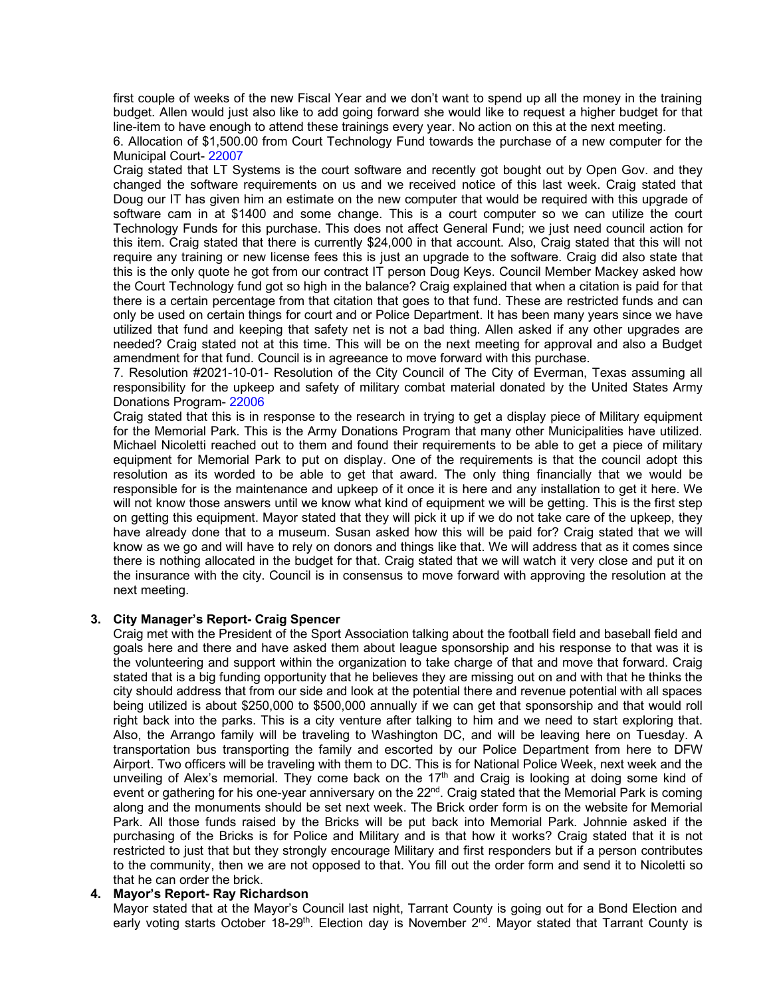first couple of weeks of the new Fiscal Year and we don't want to spend up all the money in the training budget. Allen would just also like to add going forward she would like to request a higher budget for that line-item to have enough to attend these trainings every year. No action on this at the next meeting.

6. Allocation of \$1,500.00 from Court Technology Fund towards the purchase of a new computer for the Municipal Court- 22007

Craig stated that LT Systems is the court software and recently got bought out by Open Gov. and they changed the software requirements on us and we received notice of this last week. Craig stated that Doug our IT has given him an estimate on the new computer that would be required with this upgrade of software cam in at \$1400 and some change. This is a court computer so we can utilize the court Technology Funds for this purchase. This does not affect General Fund; we just need council action for this item. Craig stated that there is currently \$24,000 in that account. Also, Craig stated that this will not require any training or new license fees this is just an upgrade to the software. Craig did also state that this is the only quote he got from our contract IT person Doug Keys. Council Member Mackey asked how the Court Technology fund got so high in the balance? Craig explained that when a citation is paid for that there is a certain percentage from that citation that goes to that fund. These are restricted funds and can only be used on certain things for court and or Police Department. It has been many years since we have utilized that fund and keeping that safety net is not a bad thing. Allen asked if any other upgrades are needed? Craig stated not at this time. This will be on the next meeting for approval and also a Budget amendment for that fund. Council is in agreeance to move forward with this purchase.

7. Resolution #2021-10-01- Resolution of the City Council of The City of Everman, Texas assuming all responsibility for the upkeep and safety of military combat material donated by the United States Army Donations Program- 22006

Craig stated that this is in response to the research in trying to get a display piece of Military equipment for the Memorial Park. This is the Army Donations Program that many other Municipalities have utilized. Michael Nicoletti reached out to them and found their requirements to be able to get a piece of military equipment for Memorial Park to put on display. One of the requirements is that the council adopt this resolution as its worded to be able to get that award. The only thing financially that we would be responsible for is the maintenance and upkeep of it once it is here and any installation to get it here. We will not know those answers until we know what kind of equipment we will be getting. This is the first step on getting this equipment. Mayor stated that they will pick it up if we do not take care of the upkeep, they have already done that to a museum. Susan asked how this will be paid for? Craig stated that we will know as we go and will have to rely on donors and things like that. We will address that as it comes since there is nothing allocated in the budget for that. Craig stated that we will watch it very close and put it on the insurance with the city. Council is in consensus to move forward with approving the resolution at the next meeting.

#### **3. City Manager's Report- Craig Spencer**

Craig met with the President of the Sport Association talking about the football field and baseball field and goals here and there and have asked them about league sponsorship and his response to that was it is the volunteering and support within the organization to take charge of that and move that forward. Craig stated that is a big funding opportunity that he believes they are missing out on and with that he thinks the city should address that from our side and look at the potential there and revenue potential with all spaces being utilized is about \$250,000 to \$500,000 annually if we can get that sponsorship and that would roll right back into the parks. This is a city venture after talking to him and we need to start exploring that. Also, the Arrango family will be traveling to Washington DC, and will be leaving here on Tuesday. A transportation bus transporting the family and escorted by our Police Department from here to DFW Airport. Two officers will be traveling with them to DC. This is for National Police Week, next week and the unveiling of Alex's memorial. They come back on the 17<sup>th</sup> and Craig is looking at doing some kind of event or gathering for his one-year anniversary on the 22<sup>nd</sup>. Craig stated that the Memorial Park is coming along and the monuments should be set next week. The Brick order form is on the website for Memorial Park. All those funds raised by the Bricks will be put back into Memorial Park. Johnnie asked if the purchasing of the Bricks is for Police and Military and is that how it works? Craig stated that it is not restricted to just that but they strongly encourage Military and first responders but if a person contributes to the community, then we are not opposed to that. You fill out the order form and send it to Nicoletti so that he can order the brick.

#### **4. Mayor's Report- Ray Richardson**

Mayor stated that at the Mayor's Council last night, Tarrant County is going out for a Bond Election and early voting starts October 18-29<sup>th</sup>. Election day is November 2<sup>nd</sup>. Mayor stated that Tarrant County is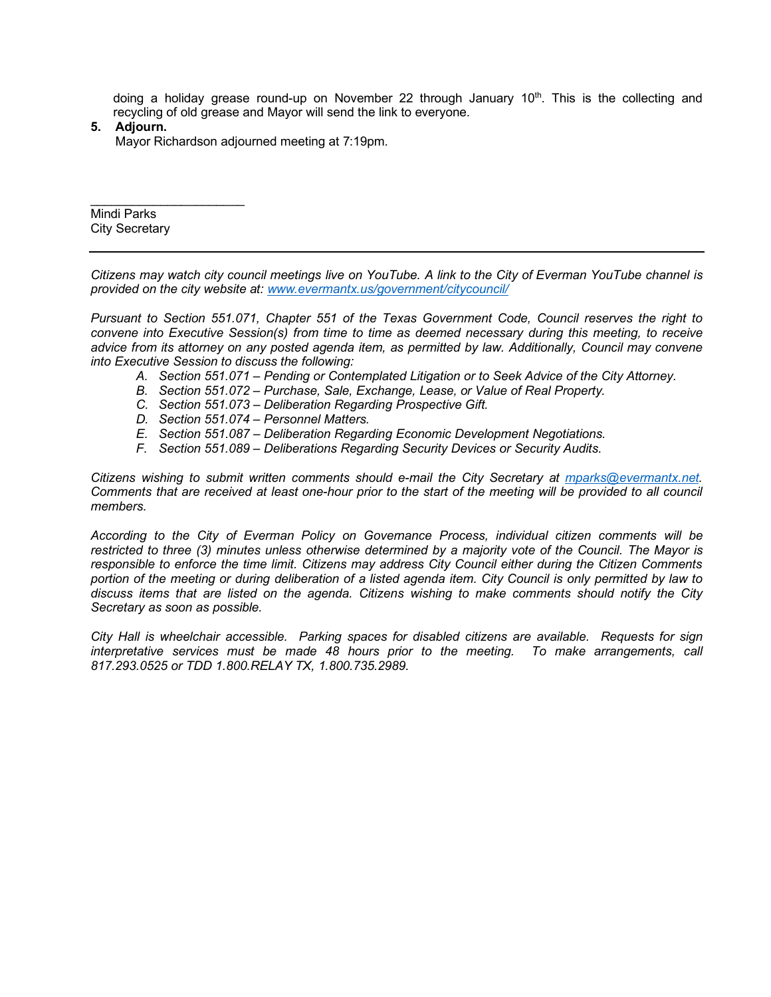doing a holiday grease round-up on November 22 through January  $10<sup>th</sup>$ . This is the collecting and recycling of old grease and Mayor will send the link to everyone.

**5. Adjourn.**

Mayor Richardson adjourned meeting at 7:19pm.

\_\_\_\_\_\_\_\_\_\_\_\_\_\_\_\_\_\_\_\_\_\_ Mindi Parks City Secretary

*Citizens may watch city council meetings live on YouTube. A link to the City of Everman YouTube channel is provided on the city website at: [www.evermantx.us/government/citycouncil/](http://www.evermantx.us/government/citycouncil/)*

*Pursuant to Section 551.071, Chapter 551 of the Texas Government Code, Council reserves the right to convene into Executive Session(s) from time to time as deemed necessary during this meeting, to receive advice from its attorney on any posted agenda item, as permitted by law. Additionally, Council may convene into Executive Session to discuss the following:*

- *A. Section 551.071 – Pending or Contemplated Litigation or to Seek Advice of the City Attorney.*
- *B. Section 551.072 – Purchase, Sale, Exchange, Lease, or Value of Real Property.*
- *C. Section 551.073 – Deliberation Regarding Prospective Gift.*
- *D. Section 551.074 – Personnel Matters.*
- *E. Section 551.087 – Deliberation Regarding Economic Development Negotiations.*
- *F. Section 551.089 – Deliberations Regarding Security Devices or Security Audits.*

*Citizens wishing to submit written comments should e-mail the City Secretary at [mparks@evermantx.net.](mailto:mparks@evermantx.net) Comments that are received at least one-hour prior to the start of the meeting will be provided to all council members.* 

*According to the City of Everman Policy on Governance Process, individual citizen comments will be restricted to three (3) minutes unless otherwise determined by a majority vote of the Council. The Mayor is responsible to enforce the time limit. Citizens may address City Council either during the Citizen Comments portion of the meeting or during deliberation of a listed agenda item. City Council is only permitted by law to discuss items that are listed on the agenda. Citizens wishing to make comments should notify the City Secretary as soon as possible.* 

*City Hall is wheelchair accessible. Parking spaces for disabled citizens are available. Requests for sign interpretative services must be made 48 hours prior to the meeting. To make arrangements, call 817.293.0525 or TDD 1.800.RELAY TX, 1.800.735.2989.*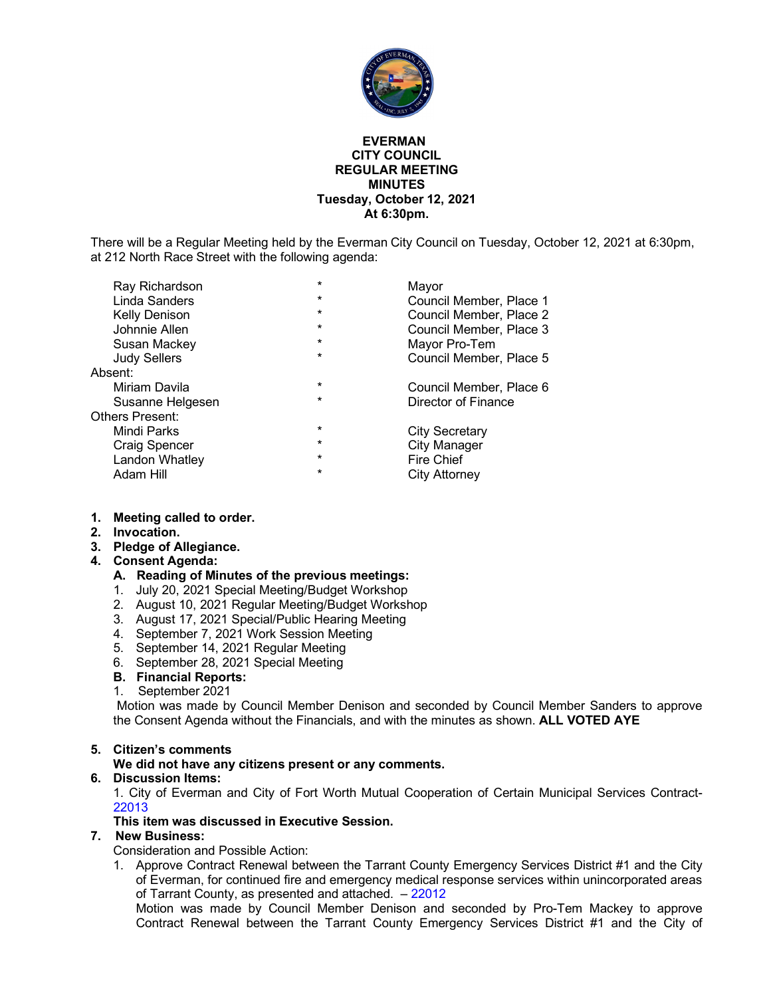

#### **EVERMAN CITY COUNCIL REGULAR MEETING MINUTES Tuesday, October 12, 2021 At 6:30pm.**

There will be a Regular Meeting held by the Everman City Council on Tuesday, October 12, 2021 at 6:30pm, at 212 North Race Street with the following agenda:

| Ray Richardson         | *       | Mayor                   |
|------------------------|---------|-------------------------|
| Linda Sanders          | *       | Council Member, Place 1 |
| Kelly Denison          | *       | Council Member, Place 2 |
| Johnnie Allen          | *       | Council Member, Place 3 |
| Susan Mackey           | *       | Mayor Pro-Tem           |
| <b>Judy Sellers</b>    | $\star$ | Council Member, Place 5 |
| Absent:                |         |                         |
| Miriam Davila          | $\star$ | Council Member, Place 6 |
| Susanne Helgesen       | $\star$ | Director of Finance     |
| <b>Others Present:</b> |         |                         |
| Mindi Parks            | $\star$ | City Secretary          |
| Craig Spencer          | $\star$ | <b>City Manager</b>     |
| Landon Whatley         | *       | <b>Fire Chief</b>       |
| Adam Hill              | $\star$ | City Attorney           |
|                        |         |                         |

#### **1. Meeting called to order.**

- **2. Invocation.**
- **3. Pledge of Allegiance.**

#### **4. Consent Agenda:**

#### **A. Reading of Minutes of the previous meetings:**

- 1. July 20, 2021 Special Meeting/Budget Workshop
- 2. August 10, 2021 Regular Meeting/Budget Workshop
- 3. August 17, 2021 Special/Public Hearing Meeting
- 4. September 7, 2021 Work Session Meeting
- 5. September 14, 2021 Regular Meeting
- 6. September 28, 2021 Special Meeting
- **B. Financial Reports:**
- 1. September 2021

Motion was made by Council Member Denison and seconded by Council Member Sanders to approve the Consent Agenda without the Financials, and with the minutes as shown. **ALL VOTED AYE**

#### **5. Citizen's comments**

#### **We did not have any citizens present or any comments.**

**6. Discussion Items:**

1. City of Everman and City of Fort Worth Mutual Cooperation of Certain Municipal Services Contract-22013

#### **This item was discussed in Executive Session.**

#### **7. New Business:**

Consideration and Possible Action:

1. Approve Contract Renewal between the Tarrant County Emergency Services District #1 and the City of Everman, for continued fire and emergency medical response services within unincorporated areas of Tarrant County, as presented and attached. – 22012

Motion was made by Council Member Denison and seconded by Pro-Tem Mackey to approve Contract Renewal between the Tarrant County Emergency Services District #1 and the City of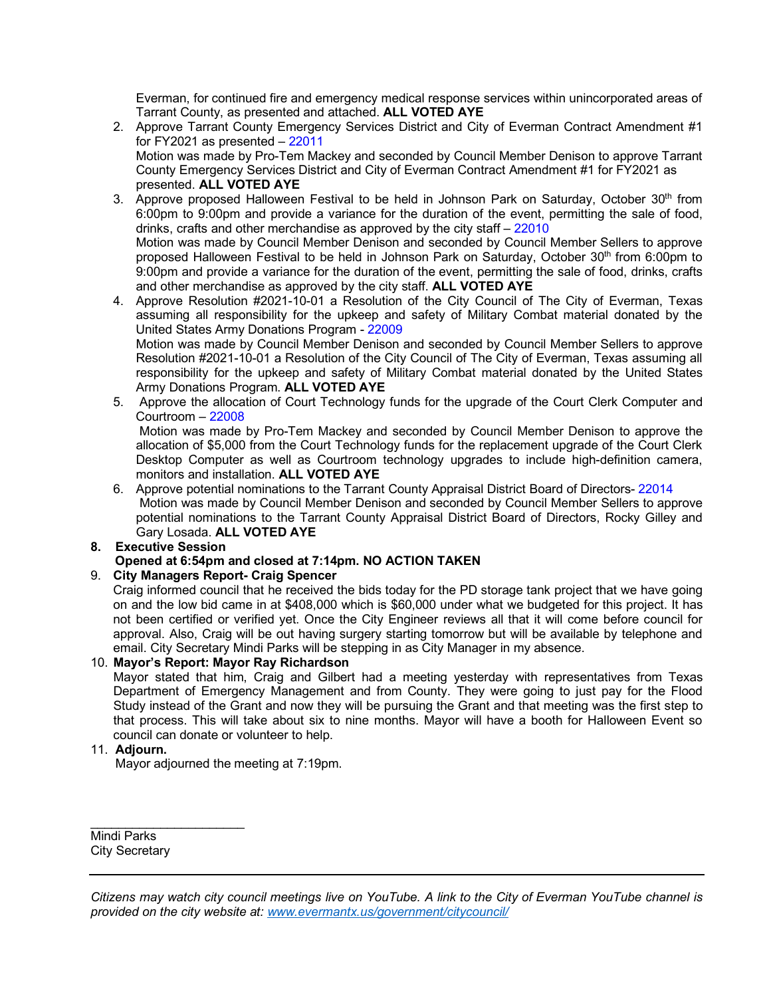Everman, for continued fire and emergency medical response services within unincorporated areas of Tarrant County, as presented and attached. **ALL VOTED AYE**

- 2. Approve Tarrant County Emergency Services District and City of Everman Contract Amendment #1 for FY2021 as presented – 22011 Motion was made by Pro-Tem Mackey and seconded by Council Member Denison to approve Tarrant County Emergency Services District and City of Everman Contract Amendment #1 for FY2021 as presented. **ALL VOTED AYE**
- 3. Approve proposed Halloween Festival to be held in Johnson Park on Saturday, October  $30<sup>th</sup>$  from 6:00pm to 9:00pm and provide a variance for the duration of the event, permitting the sale of food, drinks, crafts and other merchandise as approved by the city staff – 22010 Motion was made by Council Member Denison and seconded by Council Member Sellers to approve proposed Halloween Festival to be held in Johnson Park on Saturday, October 30<sup>th</sup> from 6:00pm to 9:00pm and provide a variance for the duration of the event, permitting the sale of food, drinks, crafts and other merchandise as approved by the city staff. **ALL VOTED AYE**
- 4. Approve Resolution #2021-10-01 a Resolution of the City Council of The City of Everman, Texas assuming all responsibility for the upkeep and safety of Military Combat material donated by the United States Army Donations Program - 22009 Motion was made by Council Member Denison and seconded by Council Member Sellers to approve

Resolution #2021-10-01 a Resolution of the City Council of The City of Everman, Texas assuming all responsibility for the upkeep and safety of Military Combat material donated by the United States Army Donations Program. **ALL VOTED AYE**

5. Approve the allocation of Court Technology funds for the upgrade of the Court Clerk Computer and Courtroom – 22008

Motion was made by Pro-Tem Mackey and seconded by Council Member Denison to approve the allocation of \$5,000 from the Court Technology funds for the replacement upgrade of the Court Clerk Desktop Computer as well as Courtroom technology upgrades to include high-definition camera, monitors and installation. **ALL VOTED AYE**

- 6. Approve potential nominations to the Tarrant County Appraisal District Board of Directors- 22014 Motion was made by Council Member Denison and seconded by Council Member Sellers to approve potential nominations to the Tarrant County Appraisal District Board of Directors, Rocky Gilley and Gary Losada. **ALL VOTED AYE**
- **8. Executive Session**

#### **Opened at 6:54pm and closed at 7:14pm. NO ACTION TAKEN**

#### 9. **City Managers Report- Craig Spencer**

Craig informed council that he received the bids today for the PD storage tank project that we have going on and the low bid came in at \$408,000 which is \$60,000 under what we budgeted for this project. It has not been certified or verified yet. Once the City Engineer reviews all that it will come before council for approval. Also, Craig will be out having surgery starting tomorrow but will be available by telephone and email. City Secretary Mindi Parks will be stepping in as City Manager in my absence.

#### 10. **Mayor's Report: Mayor Ray Richardson**

Mayor stated that him, Craig and Gilbert had a meeting yesterday with representatives from Texas Department of Emergency Management and from County. They were going to just pay for the Flood Study instead of the Grant and now they will be pursuing the Grant and that meeting was the first step to that process. This will take about six to nine months. Mayor will have a booth for Halloween Event so council can donate or volunteer to help.

#### 11. **Adjourn.**

Mayor adjourned the meeting at 7:19pm.

 $\overline{\phantom{a}}$  , which is a set of the set of the set of the set of the set of the set of the set of the set of the set of the set of the set of the set of the set of the set of the set of the set of the set of the set of th Mindi Parks City Secretary

*Citizens may watch city council meetings live on YouTube. A link to the City of Everman YouTube channel is provided on the city website at: [www.evermantx.us/government/citycouncil/](http://www.evermantx.us/government/citycouncil/)*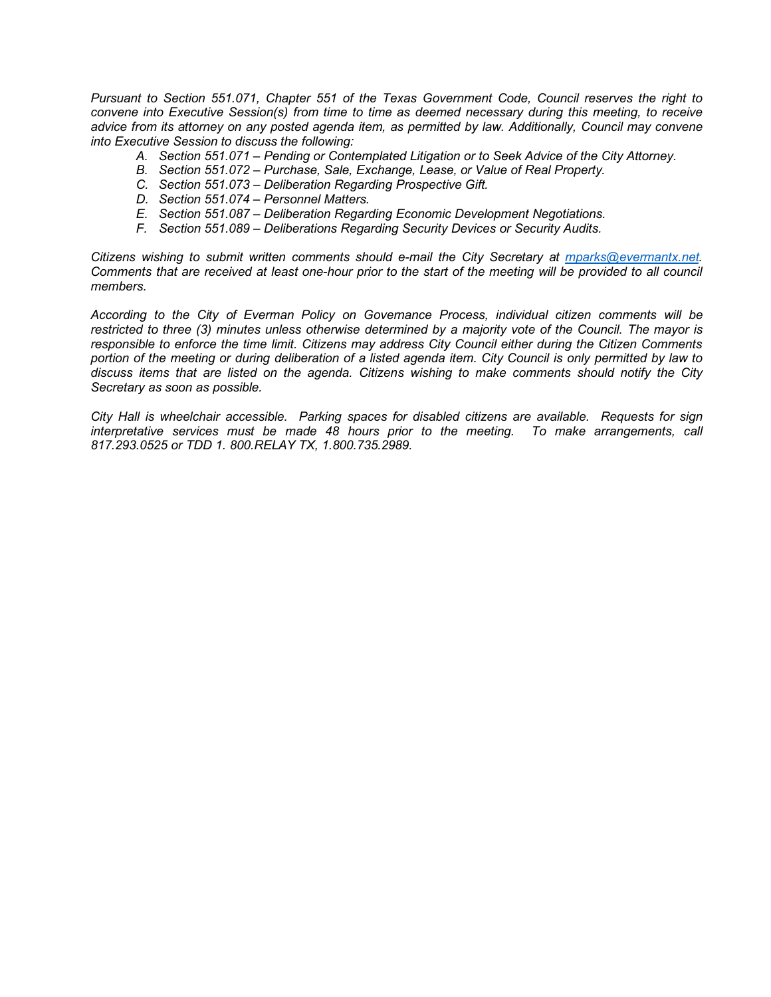*Pursuant to Section 551.071, Chapter 551 of the Texas Government Code, Council reserves the right to convene into Executive Session(s) from time to time as deemed necessary during this meeting, to receive advice from its attorney on any posted agenda item, as permitted by law. Additionally, Council may convene into Executive Session to discuss the following:*

- *A. Section 551.071 – Pending or Contemplated Litigation or to Seek Advice of the City Attorney.*
- *B. Section 551.072 – Purchase, Sale, Exchange, Lease, or Value of Real Property.*
- *C. Section 551.073 – Deliberation Regarding Prospective Gift.*
- *D. Section 551.074 – Personnel Matters.*
- *E. Section 551.087 – Deliberation Regarding Economic Development Negotiations.*
- *F. Section 551.089 – Deliberations Regarding Security Devices or Security Audits.*

*Citizens wishing to submit written comments should e-mail the City Secretary at [mparks@evermantx.net.](mailto:mparks@evermantx.net) Comments that are received at least one-hour prior to the start of the meeting will be provided to all council members.* 

*According to the City of Everman Policy on Governance Process, individual citizen comments will be restricted to three (3) minutes unless otherwise determined by a majority vote of the Council. The mayor is responsible to enforce the time limit. Citizens may address City Council either during the Citizen Comments portion of the meeting or during deliberation of a listed agenda item. City Council is only permitted by law to discuss items that are listed on the agenda. Citizens wishing to make comments should notify the City Secretary as soon as possible.* 

*City Hall is wheelchair accessible. Parking spaces for disabled citizens are available. Requests for sign interpretative services must be made 48 hours prior to the meeting. To make arrangements, call 817.293.0525 or TDD 1. 800.RELAY TX, 1.800.735.2989.*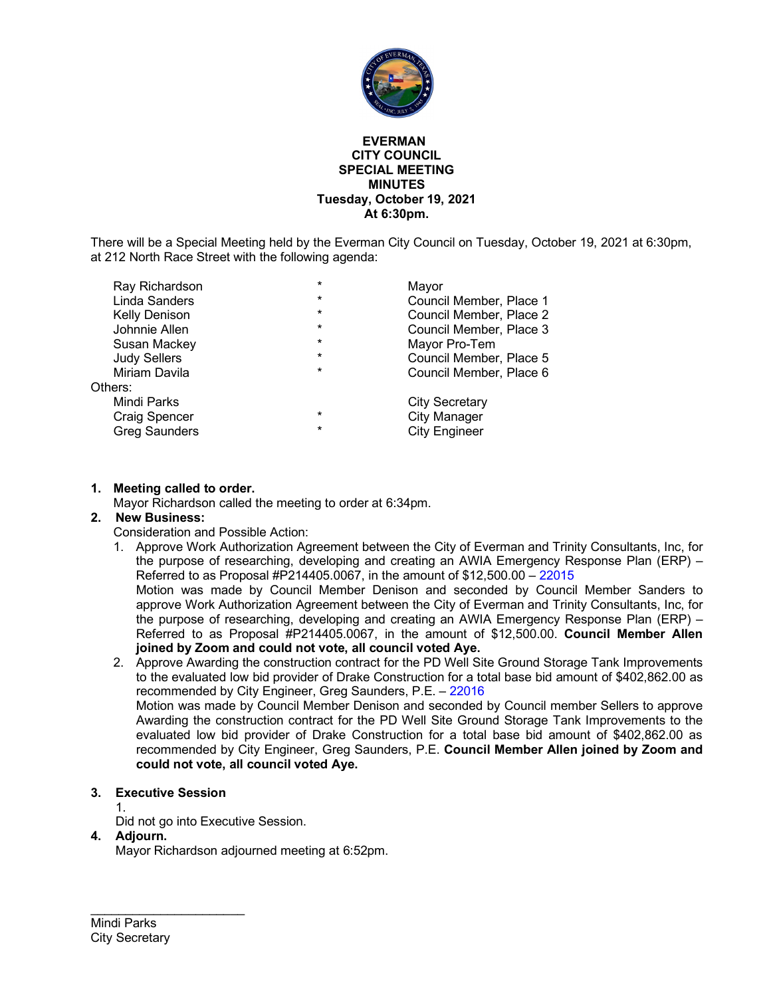

#### **EVERMAN CITY COUNCIL SPECIAL MEETING MINUTES Tuesday, October 19, 2021 At 6:30pm.**

There will be a Special Meeting held by the Everman City Council on Tuesday, October 19, 2021 at 6:30pm, at 212 North Race Street with the following agenda:

| Ray Richardson       | $\star$ | Mayor                   |
|----------------------|---------|-------------------------|
| Linda Sanders        | $\star$ | Council Member, Place 1 |
| Kelly Denison        | $\star$ | Council Member, Place 2 |
| Johnnie Allen        | $\star$ | Council Member, Place 3 |
| Susan Mackey         | $\star$ | Mayor Pro-Tem           |
| <b>Judy Sellers</b>  | $\star$ | Council Member, Place 5 |
| Miriam Davila        | $\star$ | Council Member, Place 6 |
| Others:              |         |                         |
| Mindi Parks          |         | <b>City Secretary</b>   |
| <b>Craig Spencer</b> | $\star$ | <b>City Manager</b>     |
| <b>Greg Saunders</b> | $\star$ | <b>City Engineer</b>    |
|                      |         |                         |

#### **1. Meeting called to order.**

Mayor Richardson called the meeting to order at 6:34pm.

#### **2. New Business:**

Consideration and Possible Action:

1. Approve Work Authorization Agreement between the City of Everman and Trinity Consultants, Inc, for the purpose of researching, developing and creating an AWIA Emergency Response Plan (ERP) – Referred to as Proposal #P214405.0067, in the amount of \$12,500.00 – 22015

Motion was made by Council Member Denison and seconded by Council Member Sanders to approve Work Authorization Agreement between the City of Everman and Trinity Consultants, Inc, for the purpose of researching, developing and creating an AWIA Emergency Response Plan (ERP) – Referred to as Proposal #P214405.0067, in the amount of \$12,500.00. **Council Member Allen joined by Zoom and could not vote, all council voted Aye.** 

2. Approve Awarding the construction contract for the PD Well Site Ground Storage Tank Improvements to the evaluated low bid provider of Drake Construction for a total base bid amount of \$402,862.00 as recommended by City Engineer, Greg Saunders, P.E. – 22016 Motion was made by Council Member Denison and seconded by Council member Sellers to approve Awarding the construction contract for the PD Well Site Ground Storage Tank Improvements to the evaluated low bid provider of Drake Construction for a total base bid amount of \$402,862.00 as recommended by City Engineer, Greg Saunders, P.E. **Council Member Allen joined by Zoom and could not vote, all council voted Aye.** 

#### **3. Executive Session**

1.

Did not go into Executive Session.

#### **4. Adjourn.**

Mayor Richardson adjourned meeting at 6:52pm.

\_\_\_\_\_\_\_\_\_\_\_\_\_\_\_\_\_\_\_\_\_\_ Mindi Parks City Secretary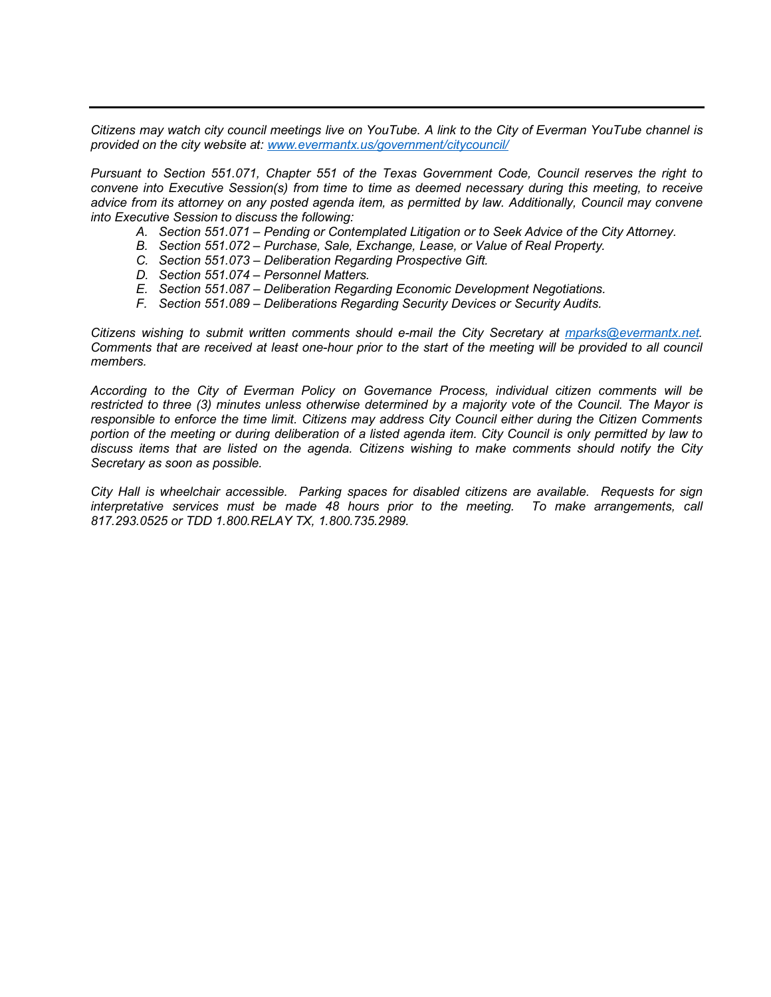*Citizens may watch city council meetings live on YouTube. A link to the City of Everman YouTube channel is provided on the city website at: [www.evermantx.us/government/citycouncil/](http://www.evermantx.us/government/citycouncil/)*

*Pursuant to Section 551.071, Chapter 551 of the Texas Government Code, Council reserves the right to convene into Executive Session(s) from time to time as deemed necessary during this meeting, to receive advice from its attorney on any posted agenda item, as permitted by law. Additionally, Council may convene into Executive Session to discuss the following:*

- *A. Section 551.071 – Pending or Contemplated Litigation or to Seek Advice of the City Attorney.*
- *B. Section 551.072 – Purchase, Sale, Exchange, Lease, or Value of Real Property.*
- *C. Section 551.073 – Deliberation Regarding Prospective Gift.*
- *D. Section 551.074 – Personnel Matters.*
- *E. Section 551.087 – Deliberation Regarding Economic Development Negotiations.*
- *F. Section 551.089 – Deliberations Regarding Security Devices or Security Audits.*

*Citizens wishing to submit written comments should e-mail the City Secretary at [mparks@evermantx.net.](mailto:mparks@evermantx.net) Comments that are received at least one-hour prior to the start of the meeting will be provided to all council members.* 

*According to the City of Everman Policy on Governance Process, individual citizen comments will be restricted to three (3) minutes unless otherwise determined by a majority vote of the Council. The Mayor is responsible to enforce the time limit. Citizens may address City Council either during the Citizen Comments portion of the meeting or during deliberation of a listed agenda item. City Council is only permitted by law to discuss items that are listed on the agenda. Citizens wishing to make comments should notify the City Secretary as soon as possible.* 

*City Hall is wheelchair accessible. Parking spaces for disabled citizens are available. Requests for sign interpretative services must be made 48 hours prior to the meeting. To make arrangements, call 817.293.0525 or TDD 1.800.RELAY TX, 1.800.735.2989.*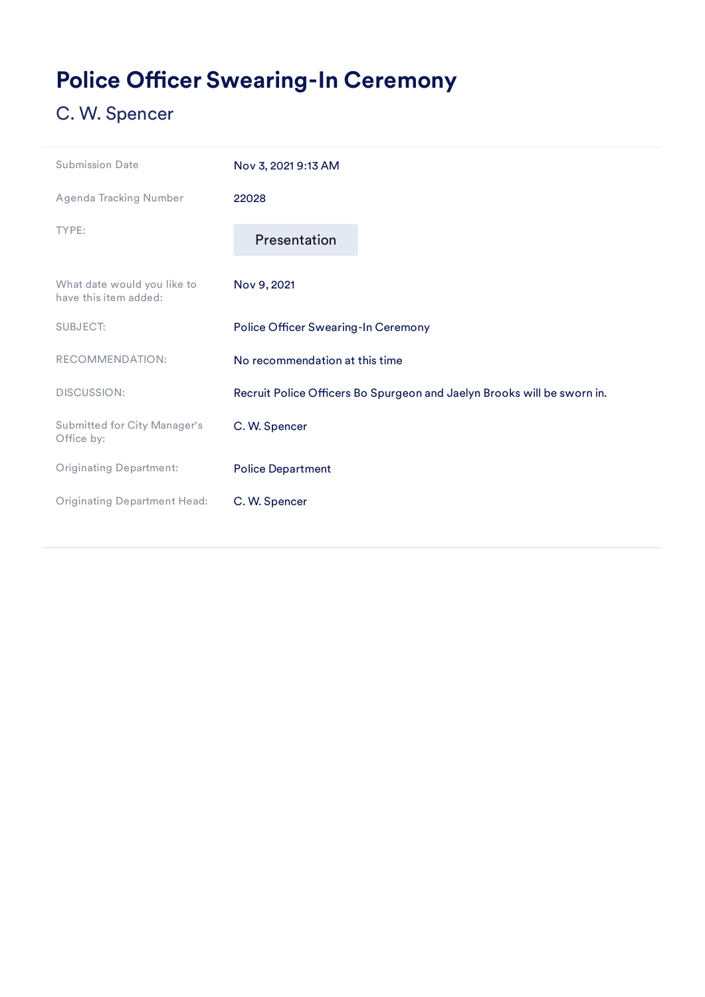# <span id="page-11-0"></span>Police Officer Swearing-In Ceremony

| <b>Submission Date</b>                               | Nov 3, 2021 9:13 AM                 |                                                                         |
|------------------------------------------------------|-------------------------------------|-------------------------------------------------------------------------|
| Agenda Tracking Number                               | 22028                               |                                                                         |
| TYPE:                                                | Presentation                        |                                                                         |
| What date would you like to<br>have this item added: | Nov 9, 2021                         |                                                                         |
| <b>SUBJECT:</b>                                      | Police Officer Swearing-In Ceremony |                                                                         |
| RECOMMENDATION:                                      | No recommendation at this time      |                                                                         |
| <b>DISCUSSION:</b>                                   |                                     | Recruit Police Officers Bo Spurgeon and Jaelyn Brooks will be sworn in. |
| Submitted for City Manager's<br>Office by:           | C. W. Spencer                       |                                                                         |
| <b>Originating Department:</b>                       | <b>Police Department</b>            |                                                                         |
| <b>Originating Department Head:</b>                  | C. W. Spencer                       |                                                                         |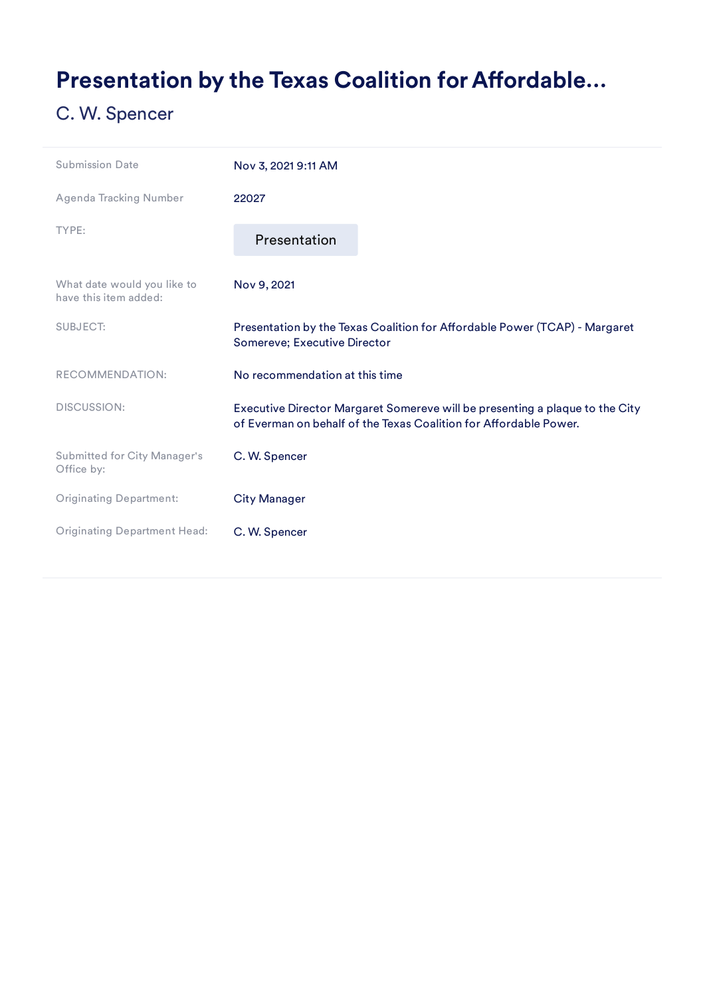## <span id="page-12-0"></span>Presentation by the Texas Coalition for Affordable...

| <b>Submission Date</b>                               | Nov 3, 2021 9:11 AM                                                                                                                               |
|------------------------------------------------------|---------------------------------------------------------------------------------------------------------------------------------------------------|
| Agenda Tracking Number                               | 22027                                                                                                                                             |
| TYPE:                                                | Presentation                                                                                                                                      |
| What date would you like to<br>have this item added: | Nov 9, 2021                                                                                                                                       |
| <b>SUBJECT:</b>                                      | Presentation by the Texas Coalition for Affordable Power (TCAP) - Margaret<br>Somereve; Executive Director                                        |
| RECOMMENDATION:                                      | No recommendation at this time                                                                                                                    |
| <b>DISCUSSION:</b>                                   | Executive Director Margaret Somereve will be presenting a plaque to the City<br>of Everman on behalf of the Texas Coalition for Affordable Power. |
| <b>Submitted for City Manager's</b><br>Office by:    | C. W. Spencer                                                                                                                                     |
| <b>Originating Department:</b>                       | <b>City Manager</b>                                                                                                                               |
| <b>Originating Department Head:</b>                  | C. W. Spencer                                                                                                                                     |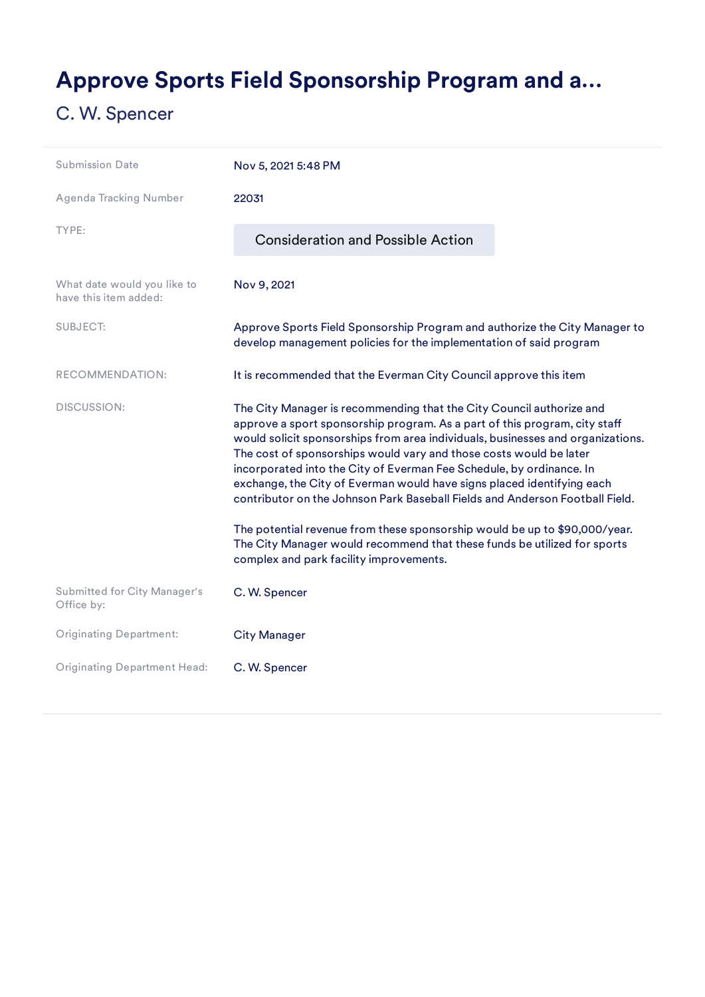# <span id="page-13-0"></span>Approve Sports Field Sponsorship Program and a…

| <b>Submission Date</b>                               | Nov 5, 2021 5:48 PM                                                                                                                                                                                                                                                                                                                                                                                                                                                                                                                           |  |
|------------------------------------------------------|-----------------------------------------------------------------------------------------------------------------------------------------------------------------------------------------------------------------------------------------------------------------------------------------------------------------------------------------------------------------------------------------------------------------------------------------------------------------------------------------------------------------------------------------------|--|
| <b>Agenda Tracking Number</b>                        | 22031                                                                                                                                                                                                                                                                                                                                                                                                                                                                                                                                         |  |
| TYPE:                                                | <b>Consideration and Possible Action</b>                                                                                                                                                                                                                                                                                                                                                                                                                                                                                                      |  |
| What date would you like to<br>have this item added: | Nov 9, 2021                                                                                                                                                                                                                                                                                                                                                                                                                                                                                                                                   |  |
| <b>SUBJECT:</b>                                      | Approve Sports Field Sponsorship Program and authorize the City Manager to<br>develop management policies for the implementation of said program                                                                                                                                                                                                                                                                                                                                                                                              |  |
| RECOMMENDATION:                                      | It is recommended that the Everman City Council approve this item                                                                                                                                                                                                                                                                                                                                                                                                                                                                             |  |
| DISCUSSION:                                          | The City Manager is recommending that the City Council authorize and<br>approve a sport sponsorship program. As a part of this program, city staff<br>would solicit sponsorships from area individuals, businesses and organizations.<br>The cost of sponsorships would vary and those costs would be later<br>incorporated into the City of Everman Fee Schedule, by ordinance. In<br>exchange, the City of Everman would have signs placed identifying each<br>contributor on the Johnson Park Baseball Fields and Anderson Football Field. |  |
|                                                      | The potential revenue from these sponsorship would be up to \$90,000/year.<br>The City Manager would recommend that these funds be utilized for sports<br>complex and park facility improvements.                                                                                                                                                                                                                                                                                                                                             |  |
| Submitted for City Manager's<br>Office by:           | C. W. Spencer                                                                                                                                                                                                                                                                                                                                                                                                                                                                                                                                 |  |
| <b>Originating Department:</b>                       | <b>City Manager</b>                                                                                                                                                                                                                                                                                                                                                                                                                                                                                                                           |  |
| <b>Originating Department Head:</b>                  | C. W. Spencer                                                                                                                                                                                                                                                                                                                                                                                                                                                                                                                                 |  |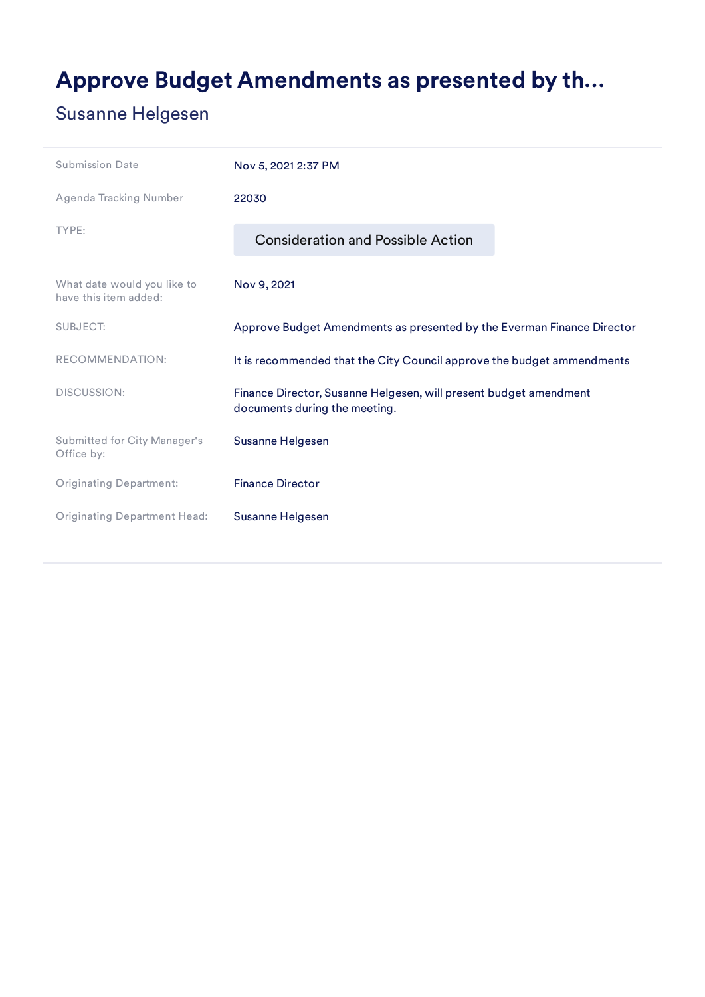## <span id="page-14-0"></span>Approve Budget Amendments as presented by th…

### Susanne Helgesen

| <b>Submission Date</b>                               | Nov 5, 2021 2:37 PM                                                                                |
|------------------------------------------------------|----------------------------------------------------------------------------------------------------|
| Agenda Tracking Number                               | 22030                                                                                              |
| TYPE:                                                | <b>Consideration and Possible Action</b>                                                           |
| What date would you like to<br>have this item added: | Nov 9, 2021                                                                                        |
| <b>SUBJECT:</b>                                      | Approve Budget Amendments as presented by the Everman Finance Director                             |
| RECOMMENDATION:                                      | It is recommended that the City Council approve the budget ammendments                             |
| <b>DISCUSSION:</b>                                   | Finance Director, Susanne Helgesen, will present budget amendment<br>documents during the meeting. |
| Submitted for City Manager's<br>Office by:           | Susanne Helgesen                                                                                   |
| <b>Originating Department:</b>                       | <b>Finance Director</b>                                                                            |
| <b>Originating Department Head:</b>                  | Susanne Helgesen                                                                                   |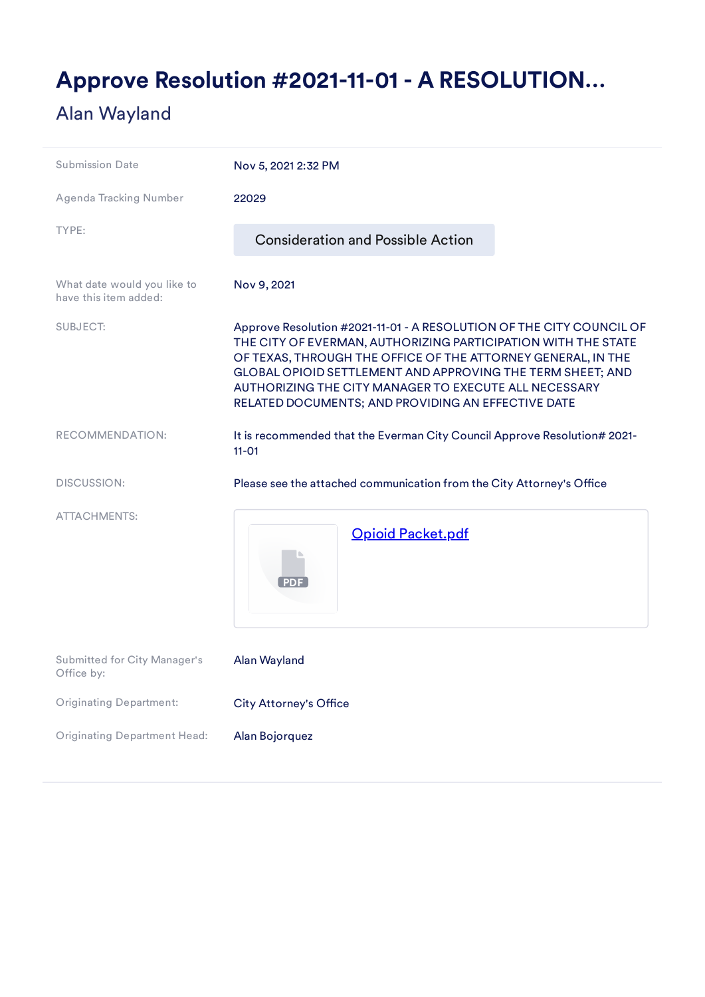## <span id="page-15-0"></span>Approve Resolution #2021-11-01 - A RESOLUTION…

### Alan Wayland

| <b>Submission Date</b>                               | Nov 5, 2021 2:32 PM                                                                                                                                                                                                                                                                                                                                                                |
|------------------------------------------------------|------------------------------------------------------------------------------------------------------------------------------------------------------------------------------------------------------------------------------------------------------------------------------------------------------------------------------------------------------------------------------------|
| <b>Agenda Tracking Number</b>                        | 22029                                                                                                                                                                                                                                                                                                                                                                              |
| TYPE:                                                | <b>Consideration and Possible Action</b>                                                                                                                                                                                                                                                                                                                                           |
| What date would you like to<br>have this item added: | Nov 9, 2021                                                                                                                                                                                                                                                                                                                                                                        |
| <b>SUBJECT:</b>                                      | Approve Resolution #2021-11-01 - A RESOLUTION OF THE CITY COUNCIL OF<br>THE CITY OF EVERMAN, AUTHORIZING PARTICIPATION WITH THE STATE<br>OF TEXAS, THROUGH THE OFFICE OF THE ATTORNEY GENERAL, IN THE<br>GLOBAL OPIOID SETTLEMENT AND APPROVING THE TERM SHEET; AND<br>AUTHORIZING THE CITY MANAGER TO EXECUTE ALL NECESSARY<br>RELATED DOCUMENTS; AND PROVIDING AN EFFECTIVE DATE |
| RECOMMENDATION:                                      | It is recommended that the Everman City Council Approve Resolution# 2021-<br>$11 - 01$                                                                                                                                                                                                                                                                                             |
| <b>DISCUSSION:</b>                                   | Please see the attached communication from the City Attorney's Office                                                                                                                                                                                                                                                                                                              |
| <b>ATTACHMENTS:</b>                                  | <b>Opioid Packet.pdf</b>                                                                                                                                                                                                                                                                                                                                                           |
| <b>Submitted for City Manager's</b><br>Office by:    | Alan Wayland                                                                                                                                                                                                                                                                                                                                                                       |
| <b>Originating Department:</b>                       | <b>City Attorney's Office</b>                                                                                                                                                                                                                                                                                                                                                      |
| <b>Originating Department Head:</b>                  | Alan Bojorquez                                                                                                                                                                                                                                                                                                                                                                     |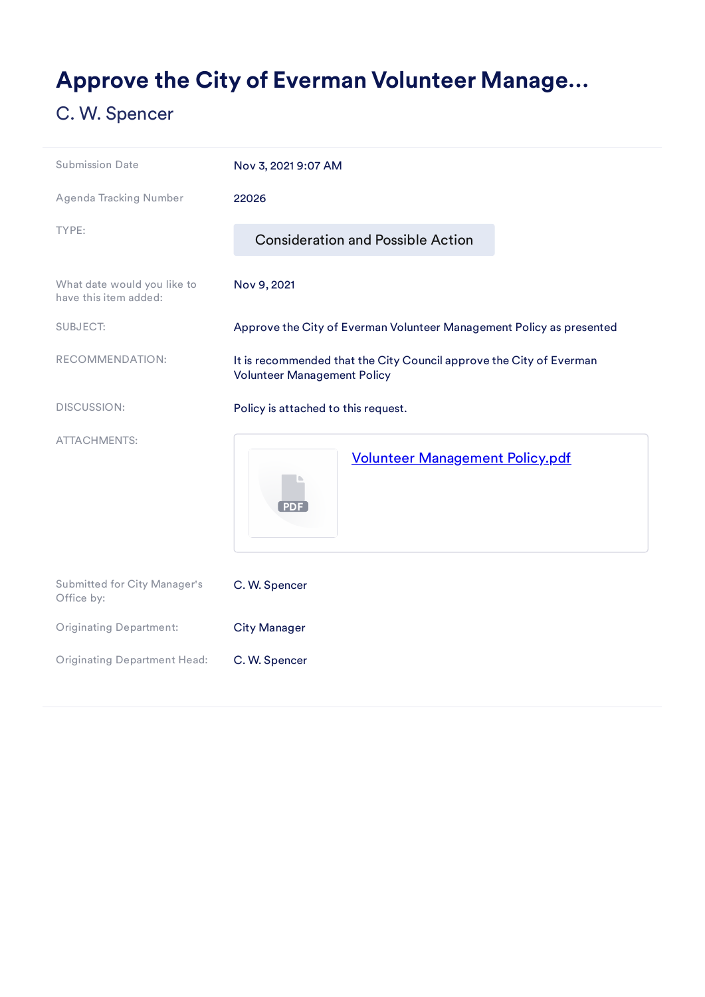## <span id="page-16-0"></span>Approve the City of Everman Volunteer Manage…

| <b>Submission Date</b>                               | Nov 3, 2021 9:07 AM                                                                                       |
|------------------------------------------------------|-----------------------------------------------------------------------------------------------------------|
| <b>Agenda Tracking Number</b>                        | 22026                                                                                                     |
| TYPE:                                                | <b>Consideration and Possible Action</b>                                                                  |
| What date would you like to<br>have this item added: | Nov 9, 2021                                                                                               |
| <b>SUBJECT:</b>                                      | Approve the City of Everman Volunteer Management Policy as presented                                      |
| RECOMMENDATION:                                      | It is recommended that the City Council approve the City of Everman<br><b>Volunteer Management Policy</b> |
| <b>DISCUSSION:</b>                                   | Policy is attached to this request.                                                                       |
| <b>ATTACHMENTS:</b>                                  | <b>Volunteer Management Policy.pdf</b>                                                                    |
| Submitted for City Manager's<br>Office by:           | C. W. Spencer                                                                                             |
| <b>Originating Department:</b>                       | <b>City Manager</b>                                                                                       |
| <b>Originating Department Head:</b>                  | C. W. Spencer                                                                                             |